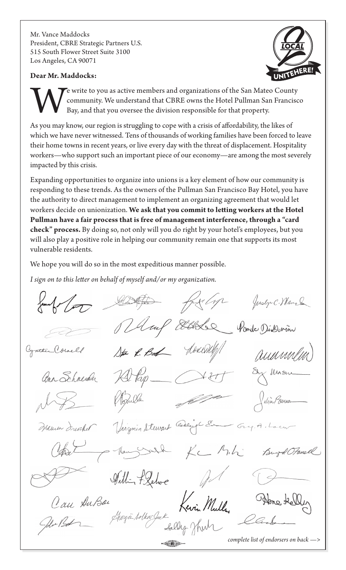Mr. Vance Maddocks President, CBRE Strategic Partners U.S. 515 South Flower Street Suite 3100 Los Angeles, CA 90071

## **Dear Mr. Maddocks:**



E write to you as active members and organizations of the San Mateo County<br>community. We understand that CBRE owns the Hotel Pullman San Francisc<br>Bay, and that you oversee the division responsible for that property. community. We understand that CBRE owns the Hotel Pullman San Francisco Bay, and that you oversee the division responsible for that property.

As you may know, our region is struggling to cope with a crisis of affordability, the likes of which we have never witnessed. Tens of thousands of working families have been forced to leave their home towns in recent years, or live every day with the threat of displacement. Hospitality workers—who support such an important piece of our economy—are among the most severely impacted by this crisis.

Expanding opportunities to organize into unions is a key element of how our community is responding to these trends. As the owners of the Pullman San Francisco Bay Hotel, you have the authority to direct management to implement an organizing agreement that would let workers decide on unionization. **We ask that you commit to letting workers at the Hotel Pullman have a fair process that is free of management interference, through a "card check" process.** By doing so, not only will you do right by your hotel's employees, but you will also play a positive role in helping our community remain one that supports its most vulnerable residents.

We hope you will do so in the most expeditious manner possible.

*I sign on to this letter on behalf of myself and/or my organization.*

for Liga Justin C. Mangh Mang Ellebe Point Dissonin hoxeny Cynthe Cornell Sta R. Bod aumm Ory Masni Al Pap ann Schneider alin Benner Virginia Stewart Canceigh En Manen Ineocher - Grep. A. Loen KC Mh Buz & OFanell - New William F. Lehoe Horga Adkar Juk Kevin Muller Can AnBor *complete list of endorsers on back —>*